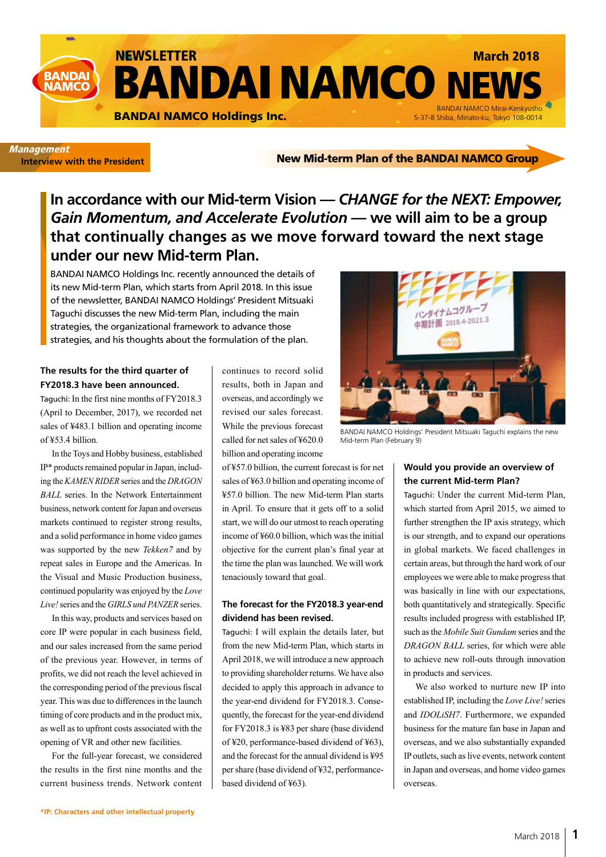

#### **Management Interview with the President**

New Mid-term Plan of the BANDAI NAMCO Group

**In accordance with our Mid-term Vision —** *CHANGE for the NEXT: Empower, Gain Momentum, and Accelerate Evolution* **— we will aim to be a group that continually changes as we move forward toward the next stage under our new Mid-term Plan.**

BANDAI NAMCO Holdings Inc. recently announced the details of its new Mid-term Plan, which starts from April 2018. In this issue of the newsletter, BANDAI NAMCO Holdings' President Mitsuaki Taguchi discusses the new Mid-term Plan, including the main strategies, the organizational framework to advance those strategies, and his thoughts about the formulation of the plan.

#### **The results for the third quarter of FY2018.3 have been announced.**

Taguchi: In the first nine months of FY2018.3 (April to December, 2017), we recorded net sales of ¥483.1 billion and operating income of ¥53.4 billion.

In the Toys and Hobby business, established IP\* products remained popular in Japan, including the *KAMEN RIDER* series and the *DRAGON BALL* series. In the Network Entertainment business, network content for Japan and overseas markets continued to register strong results, and a solid performance in home video games was supported by the new *Tekken7* and by repeat sales in Europe and the Americas. In the Visual and Music Production business, continued popularity was enjoyed by the *Love Live!* series and the *GIRLS und PANZER* series.

In this way, products and services based on core IP were popular in each business field, and our sales increased from the same period of the previous year. However, in terms of profits, we did not reach the level achieved in the corresponding period of the previous fiscal year. This was due to differences in the launch timing of core products and in the product mix, as well as to upfront costs associated with the opening of VR and other new facilities.

For the full-year forecast, we considered the results in the first nine months and the current business trends. Network content continues to record solid results, both in Japan and overseas, and accordingly we revised our sales forecast. While the previous forecast called for net sales of ¥620.0 billion and operating income

of ¥57.0 billion, the current forecast is for net sales of ¥63.0 billion and operating income of ¥57.0 billion. The new Mid-term Plan starts in April. To ensure that it gets off to a solid start, we will do our utmost to reach operating income of ¥60.0 billion, which was the initial objective for the current plan's final year at the time the plan was launched. We will work tenaciously toward that goal.

#### **The forecast for the FY2018.3 year-end dividend has been revised.**

Taguchi: I will explain the details later, but from the new Mid-term Plan, which starts in April 2018, we will introduce a new approach to providing shareholder returns. We have also decided to apply this approach in advance to the year-end dividend for FY2018.3. Consequently, the forecast for the year-end dividend for FY2018.3 is ¥83 per share (base dividend of ¥20, performance-based dividend of ¥63), and the forecast for the annual dividend is ¥95 per share (base dividend of ¥32, performancebased dividend of ¥63).



BANDAI NAMCO Holdings' President Mitsuaki Taguchi explains the new Mid-term Plan (February 9)

### **Would you provide an overview of the current Mid-term Plan?**

Taguchi: Under the current Mid-term Plan, which started from April 2015, we aimed to further strengthen the IP axis strategy, which is our strength, and to expand our operations in global markets. We faced challenges in certain areas, but through the hard work of our employees we were able to make progress that was basically in line with our expectations, both quantitatively and strategically. Specific results included progress with established IP, such as the *Mobile Suit Gundam* series and the *DRAGON BALL* series, for which were able to achieve new roll-outs through innovation in products and services.

We also worked to nurture new IP into established IP, including the *Love Live!* series and *IDOLiSH7*. Furthermore, we expanded business for the mature fan base in Japan and overseas, and we also substantially expanded IP outlets, such as live events, network content in Japan and overseas, and home video games overseas.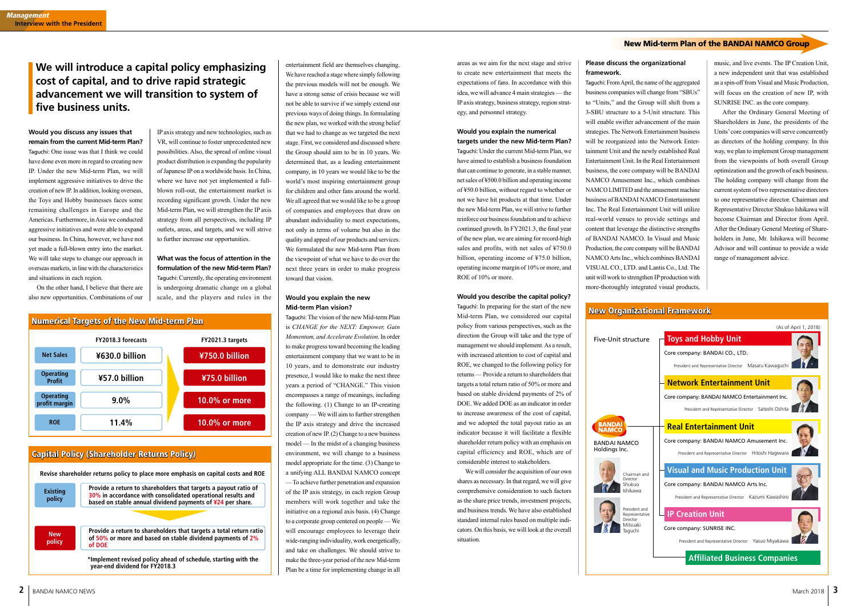IP axis strategy and new technologies, such as VR, will continue to foster unprecedented new possibilities. Also, the spread of online visual product distribution is expanding the popularity of Japanese IP on a worldwide basis. In China, where we have not yet implemented a fullblown roll-out, the entertainment market is recording significant growth. Under the new Mid-term Plan, we will strengthen the IP axis strategy from all perspectives, including IP outlets, areas, and targets, and we will strive to further increase our opportunities.

**What was the focus of attention in the formulation of the new Mid-term Plan?** Taguchi: Currently, the operating environment is undergoing dramatic change on a global scale, and the players and rules in the entertainment field are themselves changing. We have reached a stage where simply following the previous models will not be enough. We have a strong sense of crisis because we will not be able to survive if we simply extend our previous ways of doing things. In formulating the new plan, we worked with the strong belief that we had to change as we targeted the next stage. First, we considered and discussed where the Group should aim to be in 10 years. We determined that, as a leading entertainment company, in 10 years we would like to be the world's most inspiring entertainment group for children and other fans around the world. We all agreed that we would like to be a group of companies and employees that draw on abundant individuality to meet expectations, not only in terms of volume but also in the quality and appeal of our products and services. We formulated the new Mid-term Plan from the viewpoint of what we have to do over the next three years in order to make progress toward that vision.

#### **Would you explain the new Mid-term Plan vision?**

Taguchi: The vision of the new Mid-term Plan is *CHANGE for the NEXT: Empower, Gain Momentum, and Accelerate Evolution*. In order to make progress toward becoming the leading entertainment company that we want to be in 10 years, and to demonstrate our industry presence, I would like to make the next three years a period of "CHANGE." This vision encompasses a range of meanings, including the following. (1) Change to an IP-creating company — We will aim to further strengthen the IP axis strategy and drive the increased creation of new IP. (2) Change to a new business model — In the midst of a changing business environment, we will change to a business model appropriate for the time. (3) Change to a unifying ALL BANDAI NAMCO concept — To achieve further penetration and expansion of the IP axis strategy, in each region Group members will work together and take the initiative on a regional axis basis. (4) Change to a corporate group centered on people — We will encourage employees to leverage their wide-ranging individuality, work energetically, and take on challenges. We should strive to make the three-year period of the new Mid-term Plan be a time for implementing change in all

# **We will introduce a capital policy emphasizing cost of capital, and to drive rapid strategic advancement we will transition to system of five business units.**

**Would you discuss any issues that remain from the current Mid-term Plan?** Taguchi: One issue was that I think we could have done even more in regard to creating new IP. Under the new Mid-term Plan, we will implement aggressive initiatives to drive the creation of new IP. In addition, looking overseas, the Toys and Hobby businesses faces some remaining challenges in Europe and the Americas. Furthermore, in Asia we conducted aggressive initiatives and were able to expand our business. In China, however, we have not yet made a full-blown entry into the market. We will take steps to change our approach in overseas markets, in line with the characteristics and situations in each region.

On the other hand, I believe that there are also new opportunities. Combinations of our

areas as we aim for the next stage and strive to create new entertainment that meets the expectations of fans. In accordance with this idea, we will advance 4 main strategies — the IP axis strategy, business strategy, region strategy, and personnel strategy.

#### **Would you explain the numerical targets under the new Mid-term Plan?**

Taguchi: Under the current Mid-term Plan, we have aimed to establish a business foundation that can continue to generate, in a stable manner, net sales of ¥500.0 billion and operating income of ¥50.0 billion, without regard to whether or not we have hit products at that time. Under the new Mid-term Plan, we will strive to further reinforce our business foundation and to achieve continued growth. In FY2021.3, the final year of the new plan, we are aiming for record-high sales and profits, with net sales of ¥750.0 billion, operating income of ¥75.0 billion, operating income margin of 10% or more, and ROE of 10% or more.

#### **Would you describe the capital policy?**

Taguchi: In preparing for the start of the new Mid-term Plan, we considered our capital policy from various perspectives, such as the direction the Group will take and the type of management we should implement. As a result, with increased attention to cost of capital and ROE, we changed to the following policy for returns — Provide a return to shareholders that targets a total return ratio of 50% or more and based on stable dividend payments of 2% of DOE. We added DOE as an indicator in order to increase awareness of the cost of capital, and we adopted the total payout ratio as an indicator because it will facilitate a flexible shareholder return policy with an emphasis on capital efficiency and ROE, which are of considerable interest to stakeholders.

We will consider the acquisition of our own shares as necessary. In that regard, we will give comprehensive consideration to such factors as the share price trends, investment projects, and business trends. We have also established standard internal rules based on multiple indicators. On this basis, we will look at the overall situation.

#### **Please discuss the organizational framework.**

Taguchi: From April, the name of the aggregated business companies will change from "SBUs" to "Units," and the Group will shift from a 3-SBU structure to a 5-Unit structure. This will enable swifter advancement of the main strategies. The Network Entertainment business will be reorganized into the Network Entertainment Unit and the newly established Real Entertainment Unit. In the Real Entertainment business, the core company will be BANDAI NAMCO Amusement Inc., which combines NAMCO LIMITED and the amusement machine business of BANDAI NAMCO Entertainment Inc. The Real Entertainment Unit will utilize real-world venues to provide settings and content that leverage the distinctive strengths of BANDAI NAMCO. In Visual and Music Production, the core company will be BANDAI NAMCO Arts Inc., which combines BANDAI VISUAL CO., LTD. and Lantis Co., Ltd. The unit will work to strengthen IP production with more-thoroughly integrated visual products,

music, and live events. The IP Creation Unit, a new independent unit that was established as a spin-off from Visual and Music Production, will focus on the creation of new IP, with SUNRISE INC. as the core company.

After the Ordinary General Meeting of Shareholders in June, the presidents of the Units' core companies will serve concurrently as directors of the holding company. In this way, we plan to implement Group management from the viewpoints of both overall Group optimization and the growth of each business. The holding company will change from the current system of two representative directors to one representative director. Chairman and Representative Director Shukuo Ishikawa will become Chairman and Director from April. After the Ordinary General Meeting of Shareholders in June, Mr. Ishikawa will become Advisor and will continue to provide a wide range of management advice.

## Capital Policy (Shareholder Returns Policy)

| <b>Existing</b><br>policy | Provide a return to shareholders that targets a payout ratio of<br>30% in accordance with consolidated operational results and<br>based on stable annual dividend payments of $\frac{424}{12}$ per share. |
|---------------------------|-----------------------------------------------------------------------------------------------------------------------------------------------------------------------------------------------------------|
|                           |                                                                                                                                                                                                           |
| <b>New</b><br>policy      | Provide a return to shareholders that targets a total return ratio<br>of 50% or more and based on stable dividend payments of 2%<br>of DOE                                                                |

**year-end dividend for FY2018.3**





Five-Unit structure



BANDAI NAMCO Holdings Inc.



President and Representative Director Mitsuaki Taguchi

## New Organizational Framework



### New Mid-term Plan of the BANDAI NAMCO Group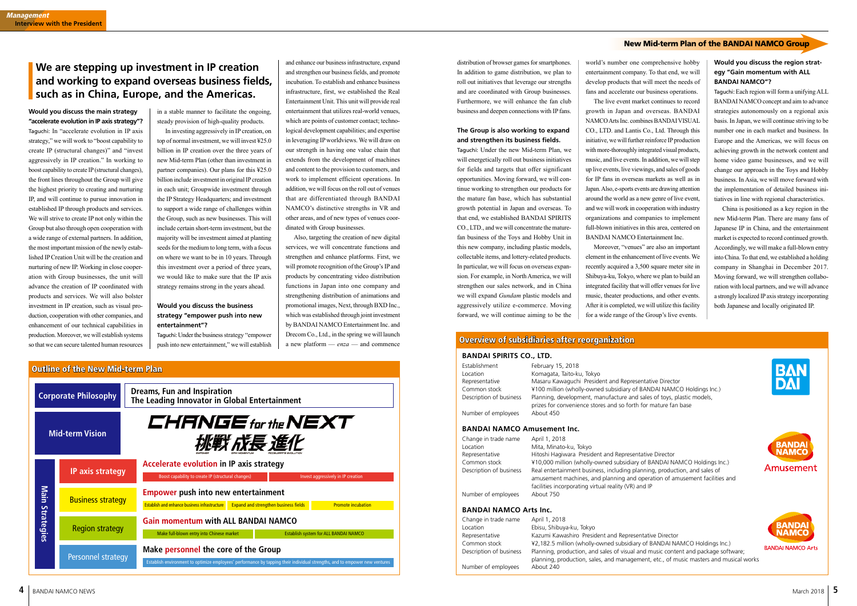in a stable manner to facilitate the ongoing, steady provision of high-quality products.

In investing aggressively in IP creation, on top of normal investment, we will invest ¥25.0 billion in IP creation over the three years of new Mid-term Plan (other than investment in partner companies). Our plans for this ¥25.0 billion include investment in original IP creation in each unit; Groupwide investment through the IP Strategy Headquarters; and investment to support a wide range of challenges within the Group, such as new businesses. This will include certain short-term investment, but the majority will be investment aimed at planting seeds for the medium to long term, with a focus on where we want to be in 10 years. Through this investment over a period of three years, we would like to make sure that the IP axis strategy remains strong in the years ahead.

#### **Would you discuss the business strategy "empower push into new entertainment"?**

Taguchi: Under the business strategy "empower push into new entertainment," we will establish and enhance our business infrastructure, expand and strengthen our business fields, and promote incubation. To establish and enhance business infrastructure, first, we established the Real Entertainment Unit. This unit will provide real entertainment that utilizes real-world venues, which are points of customer contact; technological development capabilities; and expertise in leveraging IP worldviews. We will draw on our strength in having one value chain that extends from the development of machines and content to the provision to customers, and work to implement efficient operations. In addition, we will focus on the roll out of venues that are differentiated through BANDAI NAMCO's distinctive strengths in VR and other areas, and of new types of venues coordinated with Group businesses.

Also, targeting the creation of new digital services, we will concentrate functions and strengthen and enhance platforms. First, we will promote recognition of the Group's IP and products by concentrating video distribution functions in Japan into one company and strengthening distribution of animations and promotional images, Next, through BXD Inc., which was established through joint investment by BANDAI NAMCO Entertainment Inc. and Drecom Co., Ltd., in the spring we will launch a new platform — *enza* — and commence

# **We are stepping up investment in IP creation and working to expand overseas business fields, such as in China, Europe, and the Americas.**

#### **Would you discuss the main strategy "accelerate evolution in IP axis strategy"?**

Taguchi: In "accelerate evolution in IP axis strategy," we will work to "boost capability to create IP (structural changes)" and "invest aggressively in IP creation." In working to boost capability to create IP (structural changes), the front lines throughout the Group will give the highest priority to creating and nurturing IP, and will continue to pursue innovation in established IP through products and services. We will strive to create IP not only within the Group but also through open cooperation with a wide range of external partners. In addition, the most important mission of the newly established IP Creation Unit will be the creation and nurturing of new IP. Working in close cooperation with Group businesses, the unit will advance the creation of IP coordinated with products and services. We will also bolster investment in IP creation, such as visual production, cooperation with other companies, and enhancement of our technical capabilities in production. Moreover, we will establish systems so that we can secure talented human resources

#### distribution of browser games for smartphones. In addition to game distribution, we plan to roll out initiatives that leverage our strengths and are coordinated with Group businesses. Furthermore, we will enhance the fan club business and deepen connections with IP fans.

#### **The Group is also working to expand and strengthen its business fields.**

Taguchi: Under the new Mid-term Plan, we will energetically roll out business initiatives for fields and targets that offer significant opportunities. Moving forward, we will continue working to strengthen our products for the mature fan base, which has substantial growth potential in Japan and overseas. To that end, we established BANDAI SPIRITS CO., LTD., and we will concentrate the maturefan business of the Toys and Hobby Unit in this new company, including plastic models, collectable items, and lottery-related products. In particular, we will focus on overseas expansion. For example, in North America, we will strengthen our sales network, and in China we will expand *Gundam* plastic models and aggressively utilize e-commerce. Moving forward, we will continue aiming to be the

world's number one comprehensive hobby entertainment company. To that end, we will develop products that will meet the needs of

fans and accelerate our business operations. The live event market continues to record growth in Japan and overseas. BANDAI NAMCO Arts Inc. combines BANDAI VISUAL CO., LTD. and Lantis Co., Ltd. Through this initiative, we will further reinforce IP production with more-thoroughly integrated visual products, music, and live events. In addition, we will step up live events, live viewings, and sales of goods for IP fans in overseas markets as well as in Japan. Also, e-sports events are drawing attention around the world as a new genre of live event, and we will work in cooperation with industry organizations and companies to implement full-blown initiatives in this area, centered on BANDAI NAMCO Entertainment Inc.

Moreover, "venues" are also an important element in the enhancement of live events. We recently acquired a 3,500 square meter site in Shibuya-ku, Tokyo, where we plan to build an integrated facility that will offer venues for live music, theater productions, and other events. After it is completed, we will utilize this facility for a wide range of the Group's live events.

**Would you discuss the region strategy "Gain momentum with ALL BANDAI NAMCO"?**

Taguchi: Each region will form a unifying ALL BANDAI NAMCO concept and aim to advance strategies autonomously on a regional axis basis. In Japan, we will continue striving to be number one in each market and business. In Europe and the Americas, we will focus on achieving growth in the network content and home video game businesses, and we will change our approach in the Toys and Hobby business. In Asia, we will move forward with the implementation of detailed business initiatives in line with regional characteristics.

China is positioned as a key region in the new Mid-term Plan. There are many fans of Japanese IP in China, and the entertainment market is expected to record continued growth. Accordingly, we will make a full-blown entry into China. To that end, we established a holding company in Shanghai in December 2017. Moving forward, we will strengthen collaboration with local partners, and we will advance a strongly localized IP axis strategy incorporating both Japanese and locally originated IP.







| <b>Outline of the New Mid-term Plan</b> |                          |                                                                                                                                                                     |  |
|-----------------------------------------|--------------------------|---------------------------------------------------------------------------------------------------------------------------------------------------------------------|--|
| <b>Corporate Philosophy</b>             |                          | <b>Dreams, Fun and Inspiration</b><br>The Leading Innovator in Global Entertainment                                                                                 |  |
| <b>Mid-term Vision</b>                  |                          | CHANGE for the NEXT<br>挑戰 成長 進化                                                                                                                                     |  |
| Main<br><b>Strategies</b>               | IP axis strategy         | Accelerate evolution in IP axis strategy<br>Boost capability to create IP (structural changes)<br>Invest aggressively in IP creation                                |  |
|                                         | <b>Business strategy</b> | <b>Empower push into new entertainment</b><br>Establish and enhance business infrastructure Expand and strengthen business fields<br><b>Promote incubation</b>      |  |
|                                         | <b>Region strategy</b>   | <b>Gain momentum with ALL BANDAI NAMCO</b><br>Make full-blown entry into Chinese market<br><b>Establish system for ALL BANDAI NAMCO</b>                             |  |
|                                         | Personnel strategy       | Make personnel the core of the Group<br>Establish environment to optimize employees' performance by tapping their individual strengths, and to empower new ventures |  |

#### New Mid-term Plan of the BANDAI NAMCO Group

#### **BANDAI NAMCO Arts Inc.**

Change in trade name April 1, 2018 Location Ebisu, Shibuya-ku, Tokyo Representative Kazumi Kawashiro President and Representative Director Common stock ¥2,182.5 million (wholly-owned subsidiary of BANDAI NAMCO Holdings Inc.) Description of business Planning, production, and sales of visual and music content and package software; Number of employees About 240

planning, production, sales, and management, etc., of music masters and musical works



#### **BANDAI SPIRITS CO., LTD.**

Establishment February 15, 2018

Location Komagata, Taito-ku, Tokyo Representative Masaru Kawaguchi President and Representative Director Common stock ¥100 million (wholly-owned subsidiary of BANDAI NAMCO Holdings Inc.) Description of business Planning, development, manufacture and sales of toys, plastic models, prizes for convenience stores and so forth for mature fan base Number of employees About 450

#### **BANDAI NAMCO Amusement Inc.**

Change in trade name April 1, 2018

Location Mita, Minato-ku, Tokyo Representative Hitoshi Hagiwara President and Representative Director Common stock ¥10,000 million (wholly-owned subsidiary of BANDAI NAMCO Holdings Inc.) Description of business Real entertainment business, including planning, production, and sales of amusement machines, and planning and operation of amusement facilities and facilities incorporating virtual reality (VR) and IP Number of employees About 750

## Overview of subsidiaries after reorganization